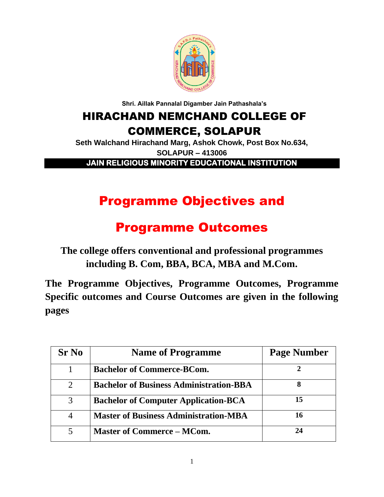

**Shri. Aillak Pannalal Digamber Jain Pathashala's**

# HIRACHAND NEMCHAND COLLEGE OF COMMERCE, SOLAPUR

**Seth Walchand Hirachand Marg, Ashok Chowk, Post Box No.634, SOLAPUR – 413006**

**JAIN RELIGIOUS MINORITY EDUCATIONAL INSTITUTION** 

# Programme Objectives and

# Programme Outcomes

**The college offers conventional and professional programmes including B. Com, BBA, BCA, MBA and M.Com.**

**The Programme Objectives, Programme Outcomes, Programme Specific outcomes and Course Outcomes are given in the following pages**

| <b>Sr No</b>   | <b>Name of Programme</b>                       | <b>Page Number</b> |
|----------------|------------------------------------------------|--------------------|
|                | <b>Bachelor of Commerce-BCom.</b>              |                    |
| $\overline{2}$ | <b>Bachelor of Business Administration-BBA</b> | 8                  |
| 3              | <b>Bachelor of Computer Application-BCA</b>    | 15                 |
| $\overline{4}$ | <b>Master of Business Administration-MBA</b>   | 16                 |
|                | <b>Master of Commerce - MCom.</b>              |                    |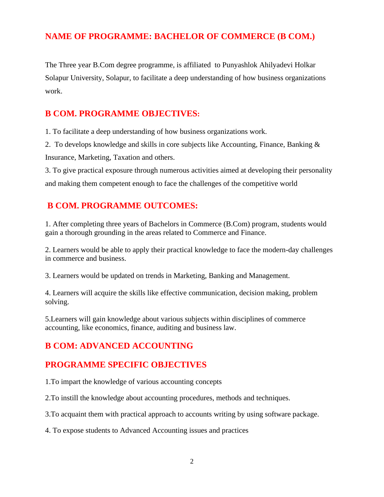# **NAME OF PROGRAMME: BACHELOR OF COMMERCE (B COM.)**

The Three year B.Com degree programme, is affiliated to Punyashlok Ahilyadevi Holkar Solapur University, Solapur, to facilitate a deep understanding of how business organizations work.

# **B COM. PROGRAMME OBJECTIVES:**

1. To facilitate a deep understanding of how business organizations work.

2. To develops knowledge and skills in core subjects like Accounting, Finance, Banking & Insurance, Marketing, Taxation and others.

3. To give practical exposure through numerous activities aimed at developing their personality and making them competent enough to face the challenges of the competitive world

# **B COM. PROGRAMME OUTCOMES:**

1. After completing three years of Bachelors in Commerce (B.Com) program, students would gain a thorough grounding in the areas related to Commerce and Finance.

2. Learners would be able to apply their practical knowledge to face the modern-day challenges in commerce and business.

3. Learners would be updated on trends in Marketing, Banking and Management.

4. Learners will acquire the skills like effective communication, decision making, problem solving.

5.Learners will gain knowledge about various subjects within disciplines of commerce accounting, like economics, finance, auditing and business law.

# **B COM: ADVANCED ACCOUNTING**

# **PROGRAMME SPECIFIC OBJECTIVES**

1.To impart the knowledge of various accounting concepts

2.To instill the knowledge about accounting procedures, methods and techniques.

3.To acquaint them with practical approach to accounts writing by using software package.

4. To expose students to Advanced Accounting issues and practices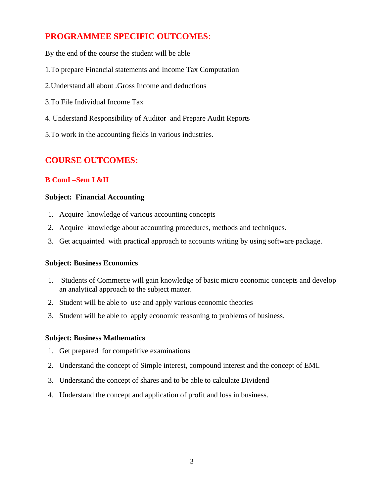# **PROGRAMMEE SPECIFIC OUTCOMES**:

By the end of the course the student will be able

- 1.To prepare Financial statements and Income Tax Computation
- 2.Understand all about .Gross Income and deductions
- 3.To File Individual Income Tax
- 4. Understand Responsibility of Auditor and Prepare Audit Reports
- 5.To work in the accounting fields in various industries.

# **COURSE OUTCOMES:**

### **B ComI –Sem I &II**

#### **Subject: Financial Accounting**

- 1. Acquire knowledge of various accounting concepts
- 2. Acquire knowledge about accounting procedures, methods and techniques.
- 3. Get acquainted with practical approach to accounts writing by using software package.

#### **Subject: Business Economics**

- 1. Students of Commerce will gain knowledge of basic micro economic concepts and develop an analytical approach to the subject matter.
- 2. Student will be able to use and apply various economic theories
- 3. Student will be able to apply economic reasoning to problems of business.

#### **Subject: Business Mathematics**

- 1. Get prepared for competitive examinations
- 2. Understand the concept of Simple interest, compound interest and the concept of EMI.
- 3. Understand the concept of shares and to be able to calculate Dividend
- 4. Understand the concept and application of profit and loss in business.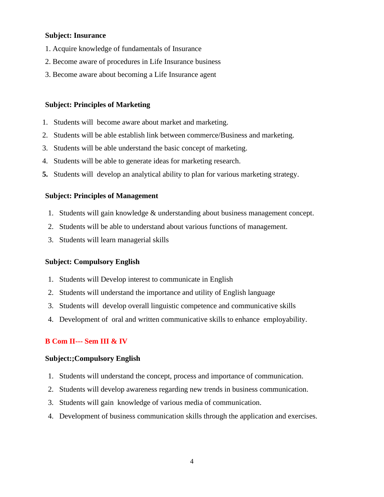#### **Subject: Insurance**

- 1. Acquire knowledge of fundamentals of Insurance
- 2. Become aware of procedures in Life Insurance business
- 3. Become aware about becoming a Life Insurance agent

#### **Subject: Principles of Marketing**

- 1. Students will become aware about market and marketing.
- 2. Students will be able establish link between commerce/Business and marketing.
- 3. Students will be able understand the basic concept of marketing.
- 4. Students will be able to generate ideas for marketing research.
- **5.** Students will develop an analytical ability to plan for various marketing strategy.

#### **Subject: Principles of Management**

- 1. Students will gain knowledge & understanding about business management concept.
- 2. Students will be able to understand about various functions of management.
- 3. Students will learn managerial skills

#### **Subject: Compulsory English**

- 1. Students will Develop interest to communicate in English
- 2. Students will understand the importance and utility of English language
- 3. Students will develop overall linguistic competence and communicative skills
- 4. Development of oral and written communicative skills to enhance employability.

#### **B Com II--- Sem III & IV**

#### **Subject:;Compulsory English**

- 1. Students will understand the concept, process and importance of communication.
- 2. Students will develop awareness regarding new trends in business communication.
- 3. Students will gain knowledge of various media of communication.
- 4. Development of business communication skills through the application and exercises.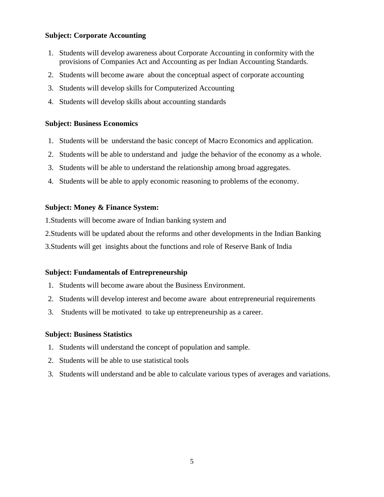### **Subject: Corporate Accounting**

- 1. Students will develop awareness about Corporate Accounting in conformity with the provisions of Companies Act and Accounting as per Indian Accounting Standards.
- 2. Students will become aware about the conceptual aspect of corporate accounting
- 3. Students will develop skills for Computerized Accounting
- 4. Students will develop skills about accounting standards

### **Subject: Business Economics**

- 1. Students will be understand the basic concept of Macro Economics and application.
- 2. Students will be able to understand and judge the behavior of the economy as a whole.
- 3. Students will be able to understand the relationship among broad aggregates.
- 4. Students will be able to apply economic reasoning to problems of the economy.

### **Subject: Money & Finance System:**

1.Students will become aware of Indian banking system and

2.Students will be updated about the reforms and other developments in the Indian Banking

3.Students will get insights about the functions and role of Reserve Bank of India

### **Subject: Fundamentals of Entrepreneurship**

- 1. Students will become aware about the Business Environment.
- 2. Students will develop interest and become aware about entrepreneurial requirements
- 3. Students will be motivated to take up entrepreneurship as a career.

#### **Subject: Business Statistics**

- 1. Students will understand the concept of population and sample.
- 2. Students will be able to use statistical tools
- 3. Students will understand and be able to calculate various types of averages and variations.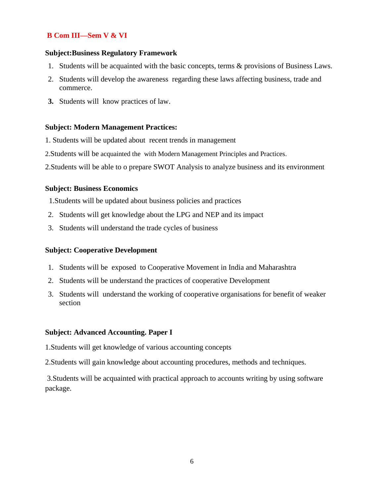### **B Com III—Sem V & VI**

#### **Subject:Business Regulatory Framework**

- 1. Students will be acquainted with the basic concepts, terms & provisions of Business Laws.
- 2. Students will develop the awareness regarding these laws affecting business, trade and commerce.
- **3.** Students will know practices of law.

#### **Subject: Modern Management Practices:**

- 1. Students will be updated about recent trends in management
- 2.Students will be acquainted the with Modern Management Principles and Practices.
- 2.Students will be able to o prepare SWOT Analysis to analyze business and its environment

#### **Subject: Business Economics**

- 1.Students will be updated about business policies and practices
- 2. Students will get knowledge about the LPG and NEP and its impact
- 3. Students will understand the trade cycles of business

#### **Subject: Cooperative Development**

- 1. Students will be exposed to Cooperative Movement in India and Maharashtra
- 2. Students will be understand the practices of cooperative Development
- 3. Students will understand the working of cooperative organisations for benefit of weaker section

#### **Subject: Advanced Accounting. Paper I**

1.Students will get knowledge of various accounting concepts

2.Students will gain knowledge about accounting procedures, methods and techniques.

3.Students will be acquainted with practical approach to accounts writing by using software package.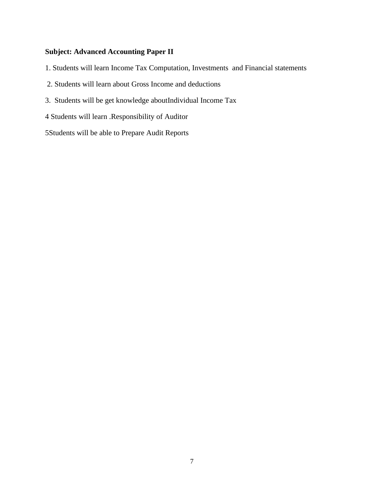### **Subject: Advanced Accounting Paper II**

- 1. Students will learn Income Tax Computation, Investments and Financial statements
- 2. Students will learn about Gross Income and deductions
- 3. Students will be get knowledge aboutIndividual Income Tax
- 4 Students will learn .Responsibility of Auditor

5Students will be able to Prepare Audit Reports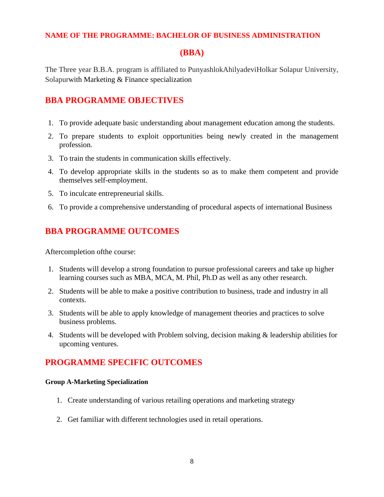### **NAME OF THE PROGRAMME: BACHELOR OF BUSINESS ADMINISTRATION**

## **(BBA)**

The Three year B.B.A. program is affiliated to PunyashlokAhilyadeviHolkar Solapur University, Solapurwith Marketing & Finance specialization

# **BBA PROGRAMME OBJECTIVES**

- 1. To provide adequate basic understanding about management education among the students.
- 2. To prepare students to exploit opportunities being newly created in the management profession.
- 3. To train the students in communication skills effectively.
- 4. To develop appropriate skills in the students so as to make them competent and provide themselves self-employment.
- 5. To inculcate entrepreneurial skills.
- 6. To provide a comprehensive understanding of procedural aspects of international Business

# **BBA PROGRAMME OUTCOMES**

Aftercompletion ofthe course:

- 1. Students will develop a strong foundation to pursue professional careers and take up higher learning courses such as MBA, MCA, M. Phil, Ph.D as well as any other research.
- 2. Students will be able to make a positive contribution to business, trade and industry in all contexts.
- 3. Students will be able to apply knowledge of management theories and practices to solve business problems.
- 4. Students will be developed with Problem solving, decision making & leadership abilities for upcoming ventures.

# **PROGRAMME SPECIFIC OUTCOMES**

#### **Group A-Marketing Specialization**

- 1. Create understanding of various retailing operations and marketing strategy
- 2. Get familiar with different technologies used in retail operations.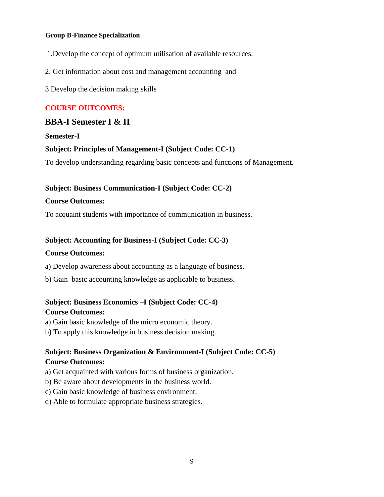#### **Group B-Finance Specialization**

- 1.Develop the concept of optimum utilisation of available resources.
- 2. Get information about cost and management accounting and

3 Develop the decision making skills

### **COURSE OUTCOMES:**

## **BBA-I Semester I & II**

**Semester-I**

### **Subject: Principles of Management-I (Subject Code: CC-1)**

To develop understanding regarding basic concepts and functions of Management.

### **Subject: Business Communication-I (Subject Code: CC-2)**

#### **Course Outcomes:**

To acquaint students with importance of communication in business.

### **Subject: Accounting for Business-I (Subject Code: CC-3)**

#### **Course Outcomes:**

- a) Develop awareness about accounting as a language of business.
- b) Gain basic accounting knowledge as applicable to business.

## **Subject: Business Economics –I (Subject Code: CC-4) Course Outcomes:**

- a) Gain basic knowledge of the micro economic theory.
- b) To apply this knowledge in business decision making.

### **Subject: Business Organization & Environment-I (Subject Code: CC-5) Course Outcomes:**

- a) Get acquainted with various forms of business organization.
- b) Be aware about developments in the business world.
- c) Gain basic knowledge of business environment.
- d) Able to formulate appropriate business strategies.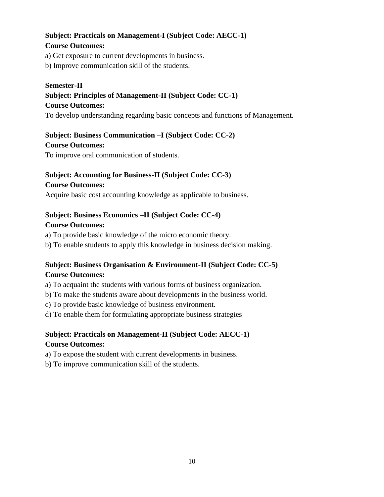# **Subject: Practicals on Management-I (Subject Code: AECC-1)**

### **Course Outcomes:**

a) Get exposure to current developments in business.

b) Improve communication skill of the students.

### **Semester-II**

# **Subject: Principles of Management-II (Subject Code: CC-1)**

**Course Outcomes:** 

To develop understanding regarding basic concepts and functions of Management.

# **Subject: Business Communication –I (Subject Code: CC-2)**

### **Course Outcomes:**

To improve oral communication of students.

# **Subject: Accounting for Business-II (Subject Code: CC-3)**

### **Course Outcomes:**

Acquire basic cost accounting knowledge as applicable to business.

# **Subject: Business Economics –II (Subject Code: CC-4)**

### **Course Outcomes:**

a) To provide basic knowledge of the micro economic theory.

b) To enable students to apply this knowledge in business decision making.

# **Subject: Business Organisation & Environment-II (Subject Code: CC-5) Course Outcomes:**

a) To acquaint the students with various forms of business organization.

b) To make the students aware about developments in the business world.

c) To provide basic knowledge of business environment.

d) To enable them for formulating appropriate business strategies

## **Subject: Practicals on Management-II (Subject Code: AECC-1) Course Outcomes:**

a) To expose the student with current developments in business.

b) To improve communication skill of the students.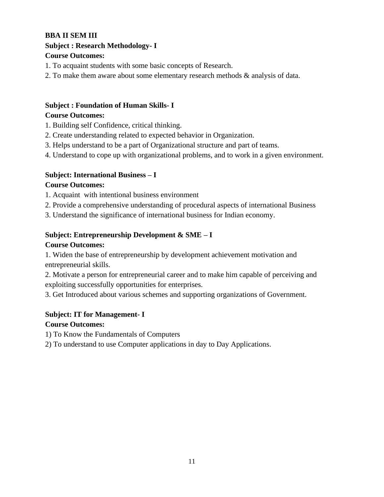## **BBA II SEM III**

# **Subject : Research Methodology- I**

### **Course Outcomes:**

- 1. To acquaint students with some basic concepts of Research.
- 2. To make them aware about some elementary research methods & analysis of data.

# **Subject : Foundation of Human Skills- I**

### **Course Outcomes:**

- 1. Building self Confidence, critical thinking.
- 2. Create understanding related to expected behavior in Organization.
- 3. Helps understand to be a part of Organizational structure and part of teams.
- 4. Understand to cope up with organizational problems, and to work in a given environment.

## **Subject: International Business – I**

### **Course Outcomes:**

- 1. Acquaint with intentional business environment
- 2. Provide a comprehensive understanding of procedural aspects of international Business
- 3. Understand the significance of international business for Indian economy.

## **Subject: Entrepreneurship Development & SME – I**

### **Course Outcomes:**

1. Widen the base of entrepreneurship by development achievement motivation and entrepreneurial skills.

2. Motivate a person for entrepreneurial career and to make him capable of perceiving and exploiting successfully opportunities for enterprises.

3. Get Introduced about various schemes and supporting organizations of Government.

# **Subject: IT for Management- I**

### **Course Outcomes:**

1) To Know the Fundamentals of Computers

2) To understand to use Computer applications in day to Day Applications.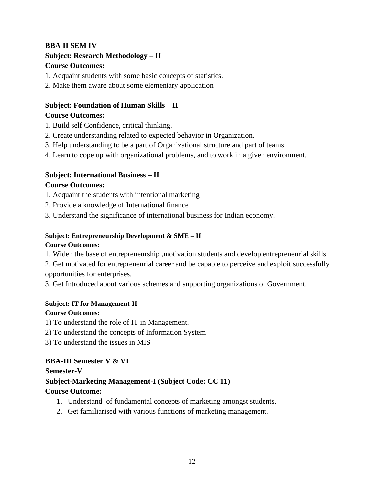# **BBA II SEM IV**

# **Subject: Research Methodology – II**

### **Course Outcomes:**

- 1. Acquaint students with some basic concepts of statistics.
- 2. Make them aware about some elementary application

### **Subject: Foundation of Human Skills – II Course Outcomes:**

- 1. Build self Confidence, critical thinking.
- 2. Create understanding related to expected behavior in Organization.
- 3. Help understanding to be a part of Organizational structure and part of teams.
- 4. Learn to cope up with organizational problems, and to work in a given environment.

## **Subject: International Business – II**

## **Course Outcomes:**

- 1. Acquaint the students with intentional marketing
- 2. Provide a knowledge of International finance
- 3. Understand the significance of international business for Indian economy.

### **Subject: Entrepreneurship Development & SME – II**

### **Course Outcomes:**

1. Widen the base of entrepreneurship ,motivation students and develop entrepreneurial skills.

2. Get motivated for entrepreneurial career and be capable to perceive and exploit successfully opportunities for enterprises.

3. Get Introduced about various schemes and supporting organizations of Government.

### **Subject: IT for Management-II**

### **Course Outcomes:**

1) To understand the role of IT in Management.

- 2) To understand the concepts of Information System
- 3) To understand the issues in MIS

## **BBA-III Semester V & VI**

**Semester-V**

### **Subject-Marketing Management-I (Subject Code: CC 11) Course Outcome:**

- 1. Understand of fundamental concepts of marketing amongst students.
- 2. Get familiarised with various functions of marketing management.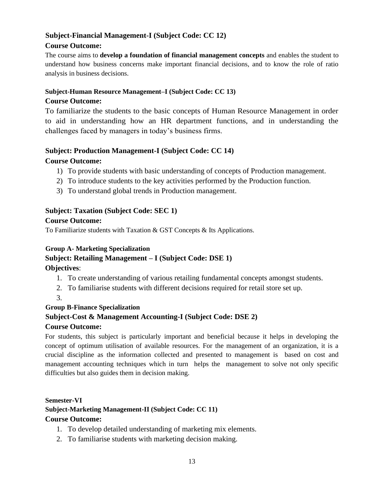# **Subject-Financial Management-I (Subject Code: CC 12)**

### **Course Outcome:**

The course aims to **develop a foundation of financial management concepts** and enables the student to understand how business concerns make important financial decisions, and to know the role of ratio analysis in business decisions.

# **Subject-Human Resource Management–I (Subject Code: CC 13)**

### **Course Outcome:**

To familiarize the students to the basic concepts of Human Resource Management in order to aid in understanding how an HR department functions, and in understanding the challenges faced by managers in today's business firms.

## **Subject: Production Management-I (Subject Code: CC 14) Course Outcome:**

- 1) To provide students with basic understanding of concepts of Production management.
- 2) To introduce students to the key activities performed by the Production function.
- 3) To understand global trends in Production management.

### **Subject: Taxation (Subject Code: SEC 1) Course Outcome:**

To Familiarize students with Taxation & GST Concepts & Its Applications.

### **Group A- Marketing Specialization**

# **Subject: Retailing Management – I (Subject Code: DSE 1)**

**Objectives**:

- 1. To create understanding of various retailing fundamental concepts amongst students.
- 2. To familiarise students with different decisions required for retail store set up.
- 3.

### **Group B-Finance Specialization**

## **Subject-Cost & Management Accounting-I (Subject Code: DSE 2)**

### **Course Outcome:**

For students, this subject is particularly important and beneficial because it helps in developing the concept of optimum utilisation of available resources. For the management of an organization, it is a crucial discipline as the information collected and presented to management is based on cost and management accounting techniques which in turn helps the management to solve not only specific difficulties but also guides them in decision making.

**Semester-VI**

### **Subject-Marketing Management-II (Subject Code: CC 11)**

### **Course Outcome:**

- 1. To develop detailed understanding of marketing mix elements.
- 2. To familiarise students with marketing decision making.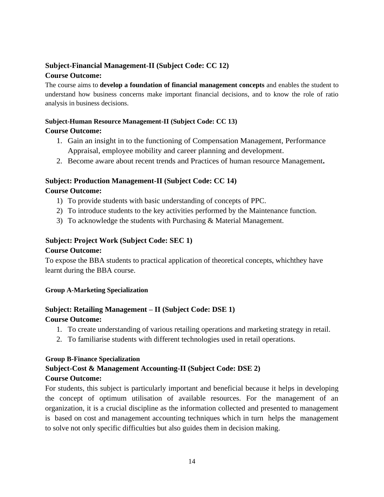## **Subject-Financial Management-II (Subject Code: CC 12) Course Outcome:**

The course aims to **develop a foundation of financial management concepts** and enables the student to understand how business concerns make important financial decisions, and to know the role of ratio analysis in business decisions.

### **Subject-Human Resource Management-II (Subject Code: CC 13)**

### **Course Outcome:**

- 1. Gain an insight in to the functioning of Compensation Management, Performance Appraisal, employee mobility and career planning and development.
- 2. Become aware about recent trends and Practices of human resource Management**.**

### **Subject: Production Management-II (Subject Code: CC 14)**

### **Course Outcome:**

- 1) To provide students with basic understanding of concepts of PPC.
- 2) To introduce students to the key activities performed by the Maintenance function.
- 3) To acknowledge the students with Purchasing & Material Management.

### **Subject: Project Work (Subject Code: SEC 1)**

### **Course Outcome:**

To expose the BBA students to practical application of theoretical concepts, whichthey have learnt during the BBA course.

### **Group A-Marketing Specialization**

# **Subject: Retailing Management – II (Subject Code: DSE 1)**

## **Course Outcome:**

- 1. To create understanding of various retailing operations and marketing strategy in retail.
- 2. To familiarise students with different technologies used in retail operations.

### **Group B-Finance Specialization**

### **Subject-Cost & Management Accounting-II (Subject Code: DSE 2) Course Outcome:**

For students, this subject is particularly important and beneficial because it helps in developing the concept of optimum utilisation of available resources. For the management of an organization, it is a crucial discipline as the information collected and presented to management is based on cost and management accounting techniques which in turn helps the management to solve not only specific difficulties but also guides them in decision making.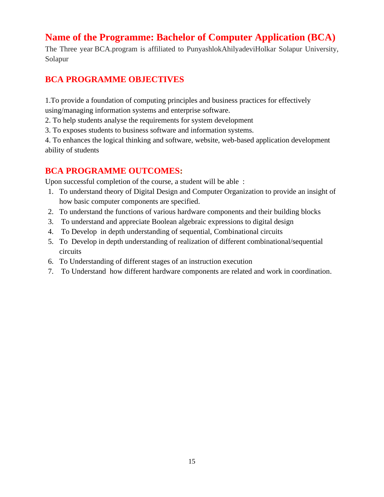# **Name of the Programme: Bachelor of Computer Application (BCA)**

The Three year BCA.program is affiliated to PunyashlokAhilyadeviHolkar Solapur University, Solapur

# **BCA PROGRAMME OBJECTIVES**

1.To provide a foundation of computing principles and business practices for effectively using/managing information systems and enterprise software.

2. To help students analyse the requirements for system development

3. To exposes students to business software and information systems.

4. To enhances the logical thinking and software, website, web-based application development ability of students

# **BCA PROGRAMME OUTCOMES:**

Upon successful completion of the course, a student will be able :

- 1. To understand theory of Digital Design and Computer Organization to provide an insight of how basic computer components are specified.
- 2. To understand the functions of various hardware components and their building blocks
- 3. To understand and appreciate Boolean algebraic expressions to digital design
- 4. To Develop in depth understanding of sequential, Combinational circuits
- 5. To Develop in depth understanding of realization of different combinational/sequential circuits
- 6. To Understanding of different stages of an instruction execution
- 7. To Understand how different hardware components are related and work in coordination.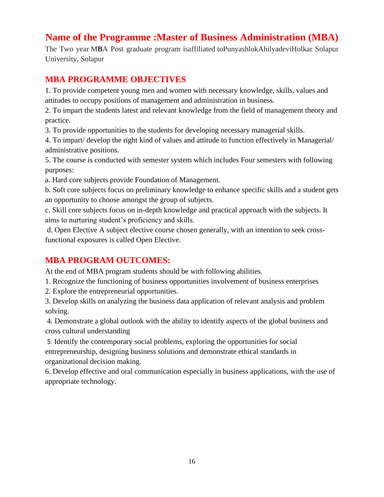# **Name of the Programme :Master of Business Administration (MBA)**

The Two year M**B**A Post graduate program isaffiliated toPunyashlokAhilyadeviHolkar Solapur University, Solapur

# **MBA PROGRAMME OBJECTIVES**

1. To provide competent young men and women with necessary knowledge, skills, values and attitudes to occupy positions of management and administration in business.

2. To impart the students latest and relevant knowledge from the field of management theory and practice.

3. To provide opportunities to the students for developing necessary managerial skills.

4. To impart/ develop the right kind of values and attitude to function effectively in Managerial/ administrative positions.

5. The course is conducted with semester system which includes Four semesters with following purposes:

a. Hard core subjects provide Foundation of Management.

b. Soft core subjects focus on preliminary knowledge to enhance specific skills and a student gets an opportunity to choose amongst the group of subjects.

c. Skill core subjects focus on in-depth knowledge and practical approach with the subjects. It aims to nurturing student's proficiency and skills.

d. Open Elective A subject elective course chosen generally, with an intention to seek crossfunctional exposures is called Open Elective.

# **MBA PROGRAM OUTCOMES:**

At the end of MBA program students should be with following abilities.

1. Recognize the functioning of business opportunities involvement of business enterprises

2. Explore the entrepreneurial opportunities.

3. Develop skills on analyzing the business data application of relevant analysis and problem solving.

4. Demonstrate a global outlook with the ability to identify aspects of the global business and cross cultural understanding

5. Identify the contemporary social problems, exploring the opportunities for social entrepreneurship, designing business solutions and demonstrate ethical standards in organizational decision making.

6. Develop effective and oral communication especially in business applications, with the use of appropriate technology.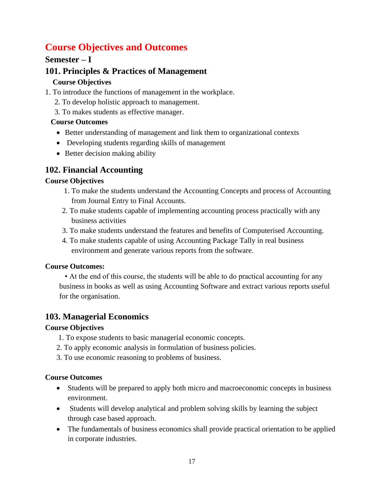# **Course Objectives and Outcomes**

# **Semester – I**

# **101. Principles & Practices of Management**

# **Course Objectives**

- 1. To introduce the functions of management in the workplace.
	- 2. To develop holistic approach to management.
	- 3. To makes students as effective manager.

# **Course Outcomes**

- Better understanding of management and link them to organizational contexts
- Developing students regarding skills of management
- Better decision making ability

# **102. Financial Accounting**

# **Course Objectives**

- 1. To make the students understand the Accounting Concepts and process of Accounting from Journal Entry to Final Accounts.
- 2. To make students capable of implementing accounting process practically with any business activities
- 3. To make students understand the features and benefits of Computerised Accounting.
- 4. To make students capable of using Accounting Package Tally in real business environment and generate various reports from the software.

# **Course Outcomes:**

 • At the end of this course, the students will be able to do practical accounting for any business in books as well as using Accounting Software and extract various reports useful for the organisation.

# **103. Managerial Economics**

## **Course Objectives**

- 1. To expose students to basic managerial economic concepts.
- 2. To apply economic analysis in formulation of business policies.
- 3. To use economic reasoning to problems of business.

# **Course Outcomes**

- Students will be prepared to apply both micro and macroeconomic concepts in business environment.
- Students will develop analytical and problem solving skills by learning the subject through case based approach.
- The fundamentals of business economics shall provide practical orientation to be applied in corporate industries.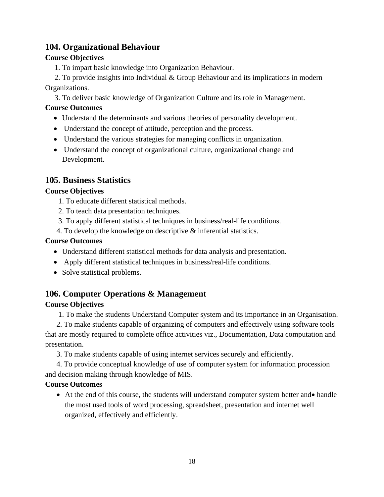# **104. Organizational Behaviour**

### **Course Objectives**

1. To impart basic knowledge into Organization Behaviour.

 2. To provide insights into Individual & Group Behaviour and its implications in modern Organizations.

3. To deliver basic knowledge of Organization Culture and its role in Management.

## **Course Outcomes**

- Understand the determinants and various theories of personality development.
- Understand the concept of attitude, perception and the process.
- Understand the various strategies for managing conflicts in organization.
- Understand the concept of organizational culture, organizational change and Development.

# **105. Business Statistics**

### **Course Objectives**

- 1. To educate different statistical methods.
- 2. To teach data presentation techniques.
- 3. To apply different statistical techniques in business/real-life conditions.
- 4. To develop the knowledge on descriptive & inferential statistics.

### **Course Outcomes**

- Understand different statistical methods for data analysis and presentation.
- Apply different statistical techniques in business/real-life conditions.
- Solve statistical problems.

# **106. Computer Operations & Management**

## **Course Objectives**

1. To make the students Understand Computer system and its importance in an Organisation.

 2. To make students capable of organizing of computers and effectively using software tools that are mostly required to complete office activities viz., Documentation, Data computation and presentation.

3. To make students capable of using internet services securely and efficiently.

 4. To provide conceptual knowledge of use of computer system for information procession and decision making through knowledge of MIS.

## **Course Outcomes**

• At the end of this course, the students will understand computer system better and • handle the most used tools of word processing, spreadsheet, presentation and internet well organized, effectively and efficiently.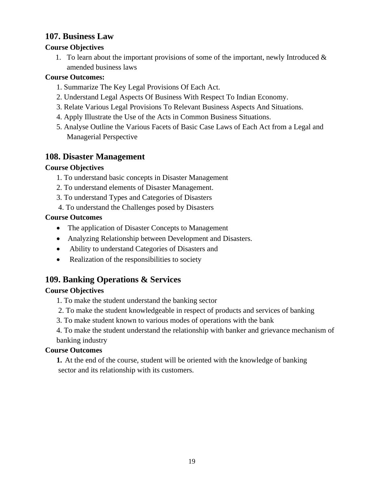# **107. Business Law**

### **Course Objectives**

1. To learn about the important provisions of some of the important, newly Introduced  $\&$ amended business laws

### **Course Outcomes:**

- 1. Summarize The Key Legal Provisions Of Each Act.
- 2. Understand Legal Aspects Of Business With Respect To Indian Economy.
- 3. Relate Various Legal Provisions To Relevant Business Aspects And Situations.
- 4. Apply Illustrate the Use of the Acts in Common Business Situations.
- 5. Analyse Outline the Various Facets of Basic Case Laws of Each Act from a Legal and Managerial Perspective

# **108. Disaster Management**

### **Course Objectives**

- 1. To understand basic concepts in Disaster Management
- 2. To understand elements of Disaster Management.
- 3. To understand Types and Categories of Disasters
- 4. To understand the Challenges posed by Disasters

### **Course Outcomes**

- The application of Disaster Concepts to Management
- Analyzing Relationship between Development and Disasters.
- Ability to understand Categories of Disasters and
- Realization of the responsibilities to society

# **109. Banking Operations & Services**

## **Course Objectives**

- 1. To make the student understand the banking sector
- 2. To make the student knowledgeable in respect of products and services of banking
- 3. To make student known to various modes of operations with the bank

4. To make the student understand the relationship with banker and grievance mechanism of banking industry

### **Course Outcomes**

**1.** At the end of the course, student will be oriented with the knowledge of banking sector and its relationship with its customers.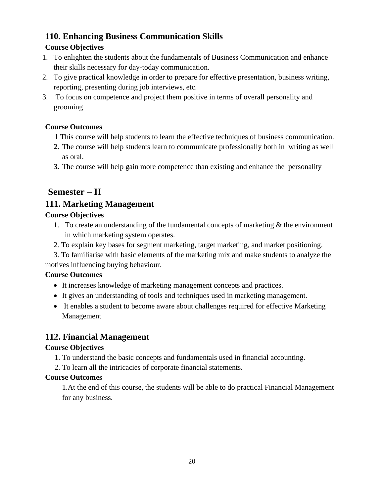# **110. Enhancing Business Communication Skills**

# **Course Objectives**

- 1. To enlighten the students about the fundamentals of Business Communication and enhance their skills necessary for day-today communication.
- 2. To give practical knowledge in order to prepare for effective presentation, business writing, reporting, presenting during job interviews, etc.
- 3. To focus on competence and project them positive in terms of overall personality and grooming

# **Course Outcomes**

- **1** This course will help students to learn the effective techniques of business communication.
- **2.** The course will help students learn to communicate professionally both in writing as well as oral.
- **3.** The course will help gain more competence than existing and enhance the personality

# **Semester – II**

# **111. Marketing Management**

# **Course Objectives**

- 1. To create an understanding of the fundamental concepts of marketing & the environment in which marketing system operates.
- 2. To explain key bases for segment marketing, target marketing, and market positioning.
- 3. To familiarise with basic elements of the marketing mix and make students to analyze the motives influencing buying behaviour.

# **Course Outcomes**

- It increases knowledge of marketing management concepts and practices.
- It gives an understanding of tools and techniques used in marketing management.
- It enables a student to become aware about challenges required for effective Marketing Management

# **112. Financial Management**

# **Course Objectives**

- 1. To understand the basic concepts and fundamentals used in financial accounting.
- 2. To learn all the intricacies of corporate financial statements.

# **Course Outcomes**

1.At the end of this course, the students will be able to do practical Financial Management for any business.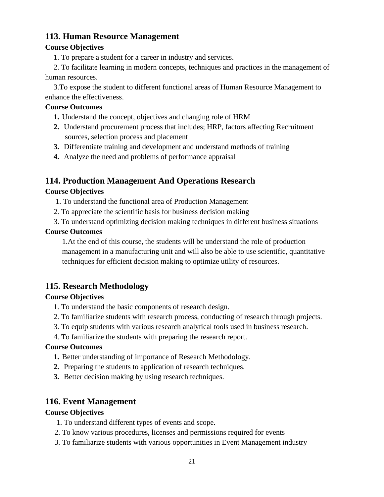# **113. Human Resource Management**

### **Course Objectives**

1. To prepare a student for a career in industry and services.

2. To facilitate learning in modern concepts, techniques and practices in the management of human resources.

3.To expose the student to different functional areas of Human Resource Management to enhance the effectiveness.

### **Course Outcomes**

- **1.** Understand the concept, objectives and changing role of HRM
- **2.** Understand procurement process that includes; HRP, factors affecting Recruitment sources, selection process and placement
- **3.** Differentiate training and development and understand methods of training
- **4.** Analyze the need and problems of performance appraisal

# **114. Production Management And Operations Research**

### **Course Objectives**

- 1. To understand the functional area of Production Management
- 2. To appreciate the scientific basis for business decision making
- 3. To understand optimizing decision making techniques in different business situations

### **Course Outcomes**

1.At the end of this course, the students will be understand the role of production management in a manufacturing unit and will also be able to use scientific, quantitative techniques for efficient decision making to optimize utility of resources.

# **115. Research Methodology**

## **Course Objectives**

- 1. To understand the basic components of research design.
- 2. To familiarize students with research process, conducting of research through projects.
- 3. To equip students with various research analytical tools used in business research.
- 4. To familiarize the students with preparing the research report.

### **Course Outcomes**

- **1.** Better understanding of importance of Research Methodology.
- **2.** Preparing the students to application of research techniques.
- **3.** Better decision making by using research techniques.

# **116. Event Management**

### **Course Objectives**

- 1. To understand different types of events and scope.
- 2. To know various procedures, licenses and permissions required for events
- 3. To familiarize students with various opportunities in Event Management industry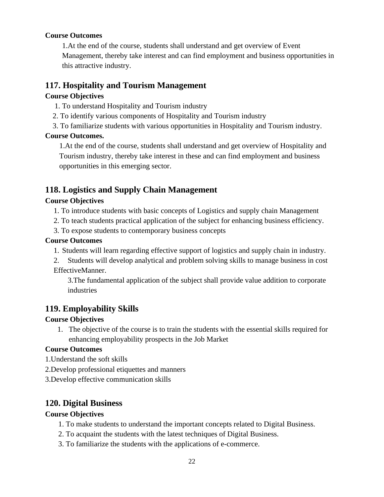### **Course Outcomes**

1.At the end of the course, students shall understand and get overview of Event Management, thereby take interest and can find employment and business opportunities in this attractive industry.

## **117. Hospitality and Tourism Management**

### **Course Objectives**

- 1. To understand Hospitality and Tourism industry
- 2. To identify various components of Hospitality and Tourism industry
- 3. To familiarize students with various opportunities in Hospitality and Tourism industry.

### **Course Outcomes.**

1.At the end of the course, students shall understand and get overview of Hospitality and Tourism industry, thereby take interest in these and can find employment and business opportunities in this emerging sector.

# **118. Logistics and Supply Chain Management**

### **Course Objectives**

- 1. To introduce students with basic concepts of Logistics and supply chain Management
- 2. To teach students practical application of the subject for enhancing business efficiency.
- 3. To expose students to contemporary business concepts

### **Course Outcomes**

- 1. Students will learn regarding effective support of logistics and supply chain in industry.
- 2. Students will develop analytical and problem solving skills to manage business in cost EffectiveManner.

3.The fundamental application of the subject shall provide value addition to corporate industries

# **119. Employability Skills**

## **Course Objectives**

1. The objective of the course is to train the students with the essential skills required for enhancing employability prospects in the Job Market

### **Course Outcomes**

- 1.Understand the soft skills
- 2.Develop professional etiquettes and manners
- 3.Develop effective communication skills

# **120. Digital Business**

## **Course Objectives**

- 1. To make students to understand the important concepts related to Digital Business.
- 2. To acquaint the students with the latest techniques of Digital Business.
- 3. To familiarize the students with the applications of e-commerce.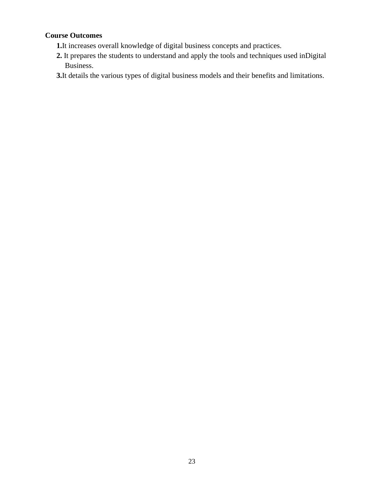## **Course Outcomes**

- **1.**It increases overall knowledge of digital business concepts and practices.
- **2.** It prepares the students to understand and apply the tools and techniques used inDigital Business.
- **3.**It details the various types of digital business models and their benefits and limitations.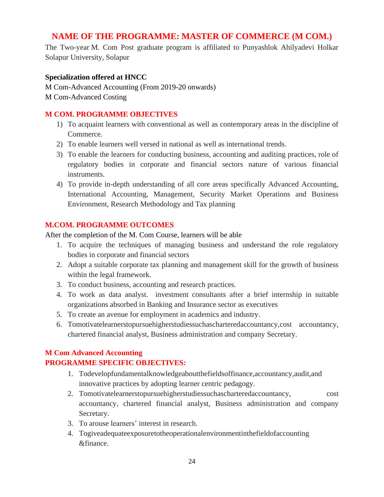# **NAME OF THE PROGRAMME: MASTER OF COMMERCE (M COM.)**

The Two-year M. Com Post graduate program is affiliated to Punyashlok Ahilyadevi Holkar Solapur University, Solapur

### **Specialization offered at HNCC**

M Com-Advanced Accounting (From 2019-20 onwards) M Com-Advanced Costing

### **M COM. PROGRAMME OBJECTIVES**

- 1) To acquaint learners with conventional as well as contemporary areas in the discipline of Commerce.
- 2) To enable learners well versed in national as well as international trends.
- 3) To enable the learners for conducting business, accounting and auditing practices, role of regulatory bodies in corporate and financial sectors nature of various financial instruments.
- 4) To provide in-depth understanding of all core areas specifically Advanced Accounting, International Accounting, Management, Security Market Operations and Business Environment, Research Methodology and Tax planning

### **M.COM. PROGRAMME OUTCOMES**

After the completion of the M. Com Course, learners will be able

- 1. To acquire the techniques of managing business and understand the role regulatory bodies in corporate and financial sectors
- 2. Adopt a suitable corporate tax planning and management skill for the growth of business within the legal framework.
- 3. To conduct business, accounting and research practices.
- 4. To work as data analyst. investment consultants after a brief internship in suitable organizations absorbed in Banking and Insurance sector as executives
- 5. To create an avenue for employment in academics and industry.
- 6. Tomotivatelearnerstopursuehigherstudiessuchascharteredaccountancy,cost accountancy, chartered financial analyst, Business administration and company Secretary.

## **M Com Advanced Accounting PROGRAMME SPECIFIC OBJECTIVES:**

- 1. Todevelopfundamentalknowledgeaboutthefieldsoffinance,accountancy,audit,and innovative practices by adopting learner centric pedagogy.
- 2. Tomotivatelearnerstopursuehigherstudiessuchascharteredaccountancy, cost accountancy, chartered financial analyst, Business administration and company Secretary.
- 3. To arouse learners' interest in research.
- 4. Togiveadequateexposuretotheoperationalenvironmentinthefieldofaccounting &finance.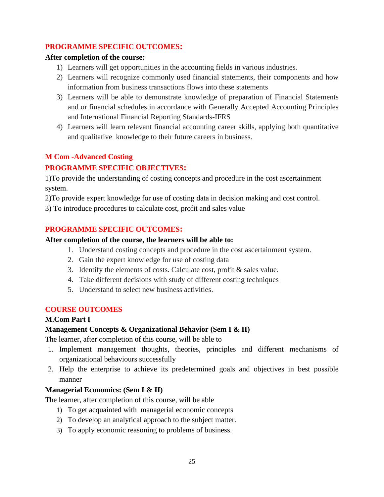### **PROGRAMME SPECIFIC OUTCOMES:**

### **After completion of the course:**

- 1) Learners will get opportunities in the accounting fields in various industries.
- 2) Learners will recognize commonly used financial statements, their components and how information from business transactions flows into these statements
- 3) Learners will be able to demonstrate knowledge of preparation of Financial Statements and or financial schedules in accordance with Generally Accepted Accounting Principles and International Financial Reporting Standards-IFRS
- 4) Learners will learn relevant financial accounting career skills, applying both quantitative and qualitative knowledge to their future careers in business.

## **M Com -Advanced Costing**

### **PROGRAMME SPECIFIC OBJECTIVES:**

1)To provide the understanding of costing concepts and procedure in the cost ascertainment system.

2)To provide expert knowledge for use of costing data in decision making and cost control.

3) To introduce procedures to calculate cost, profit and sales value

### **PROGRAMME SPECIFIC OUTCOMES:**

#### **After completion of the course, the learners will be able to:**

- 1. Understand costing concepts and procedure in the cost ascertainment system.
- 2. Gain the expert knowledge for use of costing data
- 3. Identify the elements of costs. Calculate cost, profit & sales value.
- 4. Take different decisions with study of different costing techniques
- 5. Understand to select new business activities.

### **COURSE OUTCOMES**

#### **M.Com Part I**

### **Management Concepts & Organizational Behavior (Sem I & II)**

The learner, after completion of this course, will be able to

- 1. Implement management thoughts, theories, principles and different mechanisms of organizational behaviours successfully
- 2. Help the enterprise to achieve its predetermined goals and objectives in best possible manner

### **Managerial Economics: (Sem I & II)**

The learner, after completion of this course, will be able

- 1) To get acquainted with managerial economic concepts
- 2) To develop an analytical approach to the subject matter.
- 3) To apply economic reasoning to problems of business.